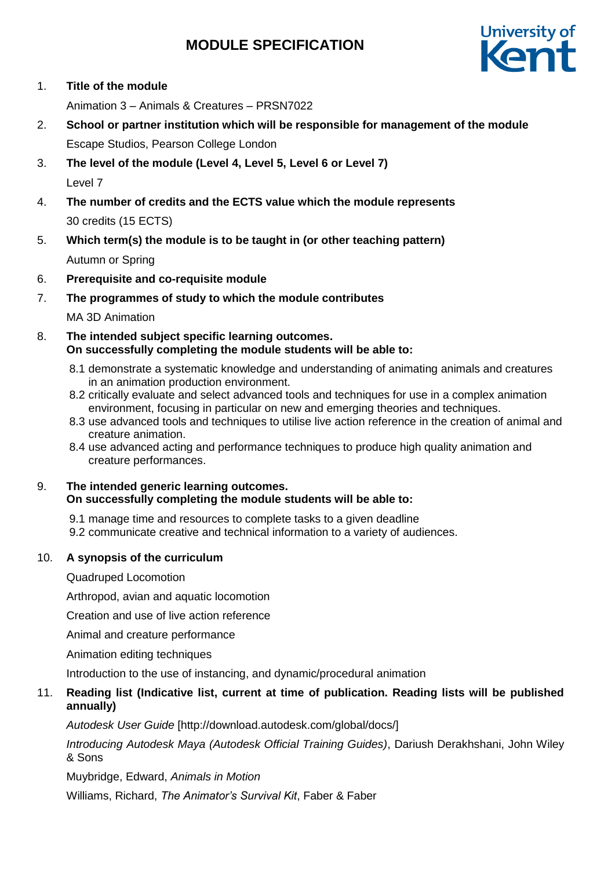## **MODULE SPECIFICATION**



1. **Title of the module**

Animation 3 – Animals & Creatures – PRSN7022

- 2. **School or partner institution which will be responsible for management of the module** Escape Studios, Pearson College London
- 3. **The level of the module (Level 4, Level 5, Level 6 or Level 7)** Level 7
- 4. **The number of credits and the ECTS value which the module represents**  30 credits (15 ECTS)
- 5. **Which term(s) the module is to be taught in (or other teaching pattern)**

Autumn or Spring

- 6. **Prerequisite and co-requisite module**
- 7. **The programmes of study to which the module contributes**

MA 3D Animation

- 8. **The intended subject specific learning outcomes. On successfully completing the module students will be able to:**
	- 8.1 demonstrate a systematic knowledge and understanding of animating animals and creatures in an animation production environment.
	- 8.2 critically evaluate and select advanced tools and techniques for use in a complex animation environment, focusing in particular on new and emerging theories and techniques.
	- 8.3 use advanced tools and techniques to utilise live action reference in the creation of animal and creature animation.
	- 8.4 use advanced acting and performance techniques to produce high quality animation and creature performances.

### 9. **The intended generic learning outcomes. On successfully completing the module students will be able to:**

9.1 manage time and resources to complete tasks to a given deadline

9.2 communicate creative and technical information to a variety of audiences.

## 10. **A synopsis of the curriculum**

Quadruped Locomotion

Arthropod, avian and aquatic locomotion

Creation and use of live action reference

Animal and creature performance

Animation editing techniques

Introduction to the use of instancing, and dynamic/procedural animation

## 11. **Reading list (Indicative list, current at time of publication. Reading lists will be published annually)**

*Autodesk User Guide* [http://download.autodesk.com/global/docs/]

*Introducing Autodesk Maya (Autodesk Official Training Guides)*, Dariush Derakhshani, John Wiley & Sons

Muybridge, Edward, *Animals in Motion*

Williams, Richard, *The Animator's Survival Kit*, Faber & Faber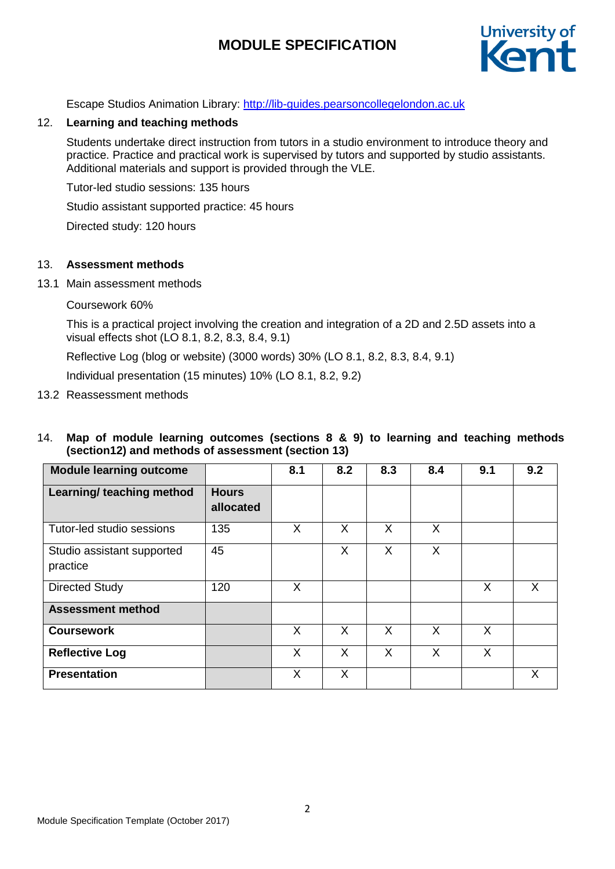# **MODULE SPECIFICATION**



Escape Studios Animation Library: [http://lib-guides.pearsoncollegelondon.ac.uk](https://urldefense.proofpoint.com/v2/url?u=http-3A__lib-2Dguides.pearsoncollegelondon.ac.uk&d=DwMFaQ&c=0YLnzTkWOdJlub_y7qAx8Q&r=SpDSvozb703YwkXZ2yDQYI1lZ4AMWS_xY3tIzXhDKRM&m=Wo7EOP_-8zVCHZXwF_I5sDe9ZB-grFmVDA3TdcQblIY&s=WU9Q4fPopBQT9LD44xKhkKjXmHBxHntpfyVFWcTzTk8&e=)

### 12. **Learning and teaching methods**

Students undertake direct instruction from tutors in a studio environment to introduce theory and practice. Practice and practical work is supervised by tutors and supported by studio assistants. Additional materials and support is provided through the VLE.

Tutor-led studio sessions: 135 hours

Studio assistant supported practice: 45 hours

Directed study: 120 hours

### 13. **Assessment methods**

13.1 Main assessment methods

### Coursework 60%

This is a practical project involving the creation and integration of a 2D and 2.5D assets into a visual effects shot (LO 8.1, 8.2, 8.3, 8.4, 9.1)

Reflective Log (blog or website) (3000 words) 30% (LO 8.1, 8.2, 8.3, 8.4, 9.1)

Individual presentation (15 minutes) 10% (LO 8.1, 8.2, 9.2)

- 13.2 Reassessment methods
- 14. **Map of module learning outcomes (sections 8 & 9) to learning and teaching methods (section12) and methods of assessment (section 13)**

| <b>Module learning outcome</b>         |                           | 8.1 | 8.2 | 8.3 | 8.4     | 9.1 | 9.2 |
|----------------------------------------|---------------------------|-----|-----|-----|---------|-----|-----|
| Learning/ teaching method              | <b>Hours</b><br>allocated |     |     |     |         |     |     |
| Tutor-led studio sessions              | 135                       | X   | X   | X   | $\sf X$ |     |     |
| Studio assistant supported<br>practice | 45                        |     | X   | X   | X       |     |     |
| <b>Directed Study</b>                  | 120                       | X   |     |     |         | X   | X.  |
| <b>Assessment method</b>               |                           |     |     |     |         |     |     |
| <b>Coursework</b>                      |                           | X   | X   | X   | X       | X   |     |
| <b>Reflective Log</b>                  |                           | X   | X   | X   | X       | X   |     |
| <b>Presentation</b>                    |                           | X   | X   |     |         |     | X   |